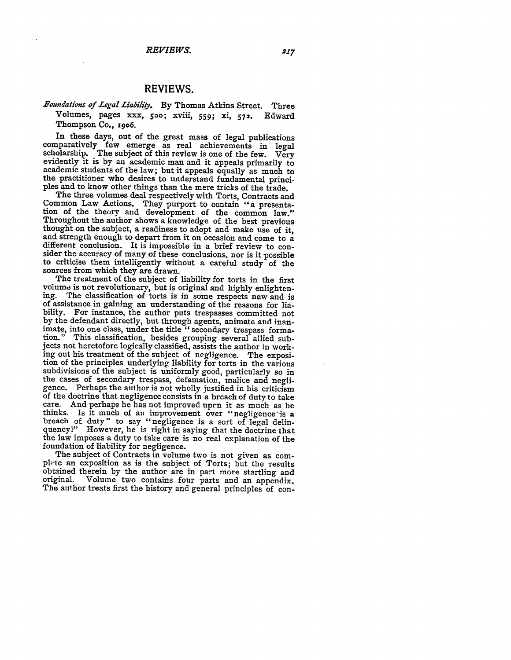## REVIEWS.

## *Foundations of Legal Liabilit.* **By** Thomas Atkins Street. Three Volumes, pages **xxx, 5oo;** xviii, *559;* **xi, 572.** Edward Thompson Co., x9o6.

In these days, out of the great mass of legal publications comparatively few emerge as real achievements in legal scholarship. The subject of this review is one of the few. Very evidently it is by an academic man and it ap academic students of the law; but it appeals equally as much to the practitioner who desires to understand fundamental princi- ples and to know other things than the mere tricks of the trade.

The three volumes deal respectively with Torts, Contracts and Common Law Actions. They purport to contain "a presentation of the theory and development of the common law."<br>Throughout the author shows a knowledge of the best previous thought on the subject, a readiness to adopt and make use of it, and strength enough to depart from it on occasion and come to a different conclusion. It is impossible in a brief review to consider the accuracy of many of these conclusions, nor is it possible to criticise them intelligently without a careful study of **the** sources from which they are drawn.

The treatment of the subject of liability for torts in the first volume is not revolutionary, but is original and highly enlightening. The classification of torts is in some respects new and is of assistance in gaining an understanding of the reasons for liability. For instance, the author puts trespasses committed not **by** the defendant directly, but through agents, animate and inanimate, into one class, under the title "secondary trespass formation." This classification, besides grouping several allied subjects not heretofore logically classified, assists the author in working out his treatment of the subject of negligence. The exposi- tion of the principles underlying liability for torts in the various subdivisions of the subject is uniformly good, particularly so in the cases of secondary trespass, defamation, malice and negligence. Perhaps the author is not wholly justified in his criticism of the doctrine that negligencc consists in a breach of duty to take care. And perhaps he has not improved upcn it as much as he thinks. Is it much of an improvement over "negligence is a breach of duty" to say "negligence is a sort of legal delinquency?" However, he is right in saying that the doctrine that the law imposes a duty to take care is no real explanation of the foundation of liability for negligence.

The subject of Contracts in volume two is not given as com**pl-'te** an exposition as is the subject of Torts; but the results obtained therein **by** the author are in part more startling and original. Volume two contains four parts and an appendix. The author treats first the history and general principles of con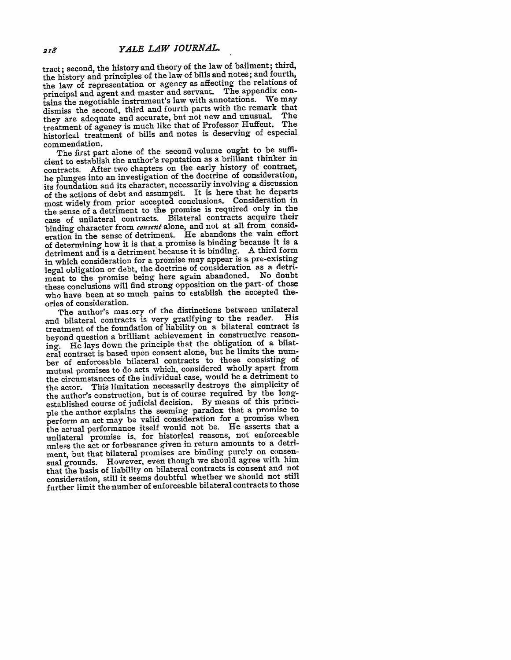tract; second, the history and theory of the law of bailment; third, the history and principles of the law of bills and notes; and fourth, the law of representation or agency as affecting the relations of principal and agent and master and servant. The appendix contains the negotiable instrument's law with annotations. We may dismiss the second, third and fourth parts with the remark that they are adequate and accurate, but not new and unusual. The treatment of agency is much like that of Professor Huffcut. The historical treatment of bills and notes is deserving of especial commendation.

The first part alone of the second volume ought to be sufficient to establish the author's reputation as a brilliant thinker in contracts. After two chapters on the early history of contract, he plunges into an investigation of the doctrine of consideration, its foundation and its character, necessarily involving a discussion of the actions of debt and assumpsit. It is here that he departs most widely from prior accepted conclusions. Consideration in the sense of a detriment to the promise is required only in the case of unilateral contracts. Bilateral contracts acquire their binding character from *consent* alone, and not at all from consideration in the sense of detriment. He abandons the vain effort of determining how it is that a promise is binding because it is a detriment and is a detriment because it is binding. A third form in which consideration for a promise may appear is a pre-existing legal obligation or debt, the doctrine of consideration as a detriment to the promise being here again abandoned. No doubt these conclusions will find strong opposition on the part- of those who have been at so much pains to establish the accepted theories of consideration.

The author's mas ery of the distinctions between unilateral<br>bilistical contracts is yery gratifying to the reader. His and bilateral contracts is very gratifying to the reader. treatment of the foundation of liability on a bilateral contract is beyond question a brilliant achievement in constructive reasoning. He lays down the principle that the obligation of a bilateral contract is based upon consent alone, but he limits the number of enforceable bilateral contracts to those consisting of mutual promises to do acts which, considercd wholly apart from the circumstances of the individual case, would be a detriment to the actor. This limitation necessarily destroys the simplicity of the author's construction, but is of course required by the longestablished course of judicial decision. By means of this principle the author explains the seeming paradox that a promise to perform an act may be valid consideration for a promise when the actual performance itself would not be. He asserts that a unilateral promise is, for historical reasons, not enforceable unless the act or forbearance given in return amounts to a detriment, but that bilateral promises are binding purely on consensual grounds. However, even though we should agree with him that the basis of liability on bilateral contracts is consent and not consideration, still it seems doubtful whether we should not still further limit the number of enforceable bilateral contracts to those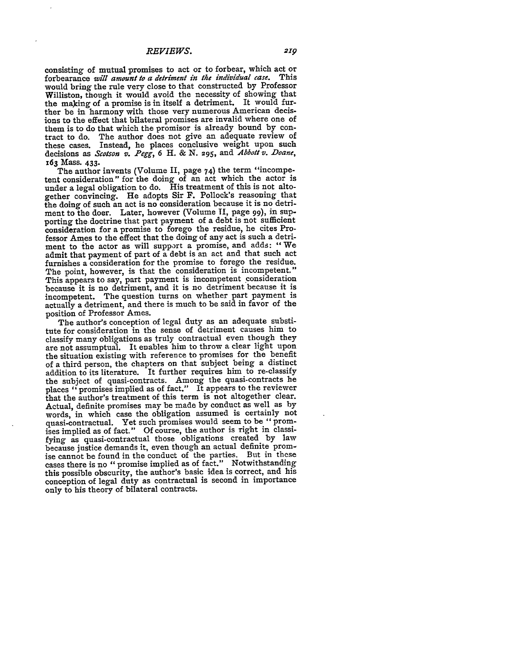consisting of mutual promises to act or to forbear, which act or forbearance *will amount to a detriment in the individual case.* This would bring the rule very close to that constructed **by** Professor Williston, though it would avoid the necessity of showing that the making of a promise is in itself a detriment. It would further be in harmony with those very numerous American decisions to the effect that bilateral promises are invalid where one of them is to do that which the promisor is already bound by contract to do. The author does not give an adequate review of these cases. Instead, he places conclusive weight upon such decisions as *Scotson v. Pegg,* **6** H. & N. **295,** and *Abbott v. Doane,* 163 Mass. 433.

The author invents (Volume II, page 74) the term "incompetent consideration" for the doing of an act which the actor is under a legal obligation to do. His treatment of this is not altogether convincing. He adopts Sir F. Pollock's reasoning that the doing of such an act is no consideration because it is no detriment to the doer. Later, however (Volume II, page **99),** in supporting the doctrine that part payment of a debt is not sufficient consideration for a promise to forego the residue, he cites Professor Ames to the effect that the doing of any act is such a detriment to **the** actor as will support a promise, and adds: "We admit that payment of part of a debt is an act and that such act furnishes a consideration for the promise to forego the residue. The point, however, is that the consideration is incompetent." This appears to say, part payment is incompetent consideration because it is no detriment, and it is no detriment because it is incompetent. The question turns on whether part payment is actually a detriment, and there is much to be said in favor of the position of Professor Ames.

The author's conception of legal duty as an adequate substitute for consideration in the sense of detriment causes him to classify many obligations as truly contractual even though they are not assumptual. It enables him to throw a clear light upon the situation existing with reference to promises for the benefit of a third person, the chapters on that subject being a distinct addition to its literature. It further requires him to re-classify the subject of quasi-contracts. Among the quasi-contracts he places "promises implied as of fact." It appears to the reviewer that the author's treatment of this term is not altogether clear. Actual, definite promises may be made by conduct as well as **by** words, in which case the obligation assumed is certainly not quasi-contractual. Yet such promises would seem to be "promises implied as of fact." Of course, the author is right in classifying as quasi-contractual those obligations created **by** law because justice demands it, even though an actual definite promise cannot be found in the conduct of the parties. But in these cases there is no "promise implied as of fact." Notwithstanding this possible obscurity, the author's basic idea is correct, and his conception of legal duty as contractual is second in importance only to his theory of bilateral contracts.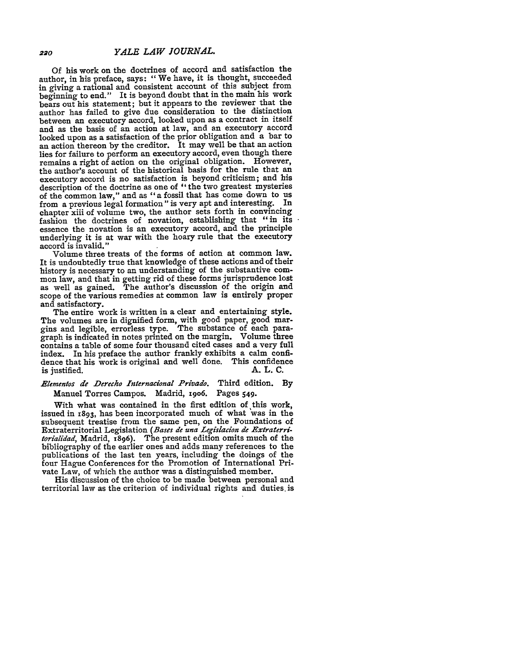Of his work on the doctrines of accord and satisfaction the author, in his preface, says: "We have, it is thought, succeeded in giving a rational and consistent account of this subject from beginning to end." It is beyond doubt that in the main his work bears out his statement; but it appears to the reviewer that the author has failed to give due consideration to the distinction between an executory accord, looked upon as a contract in itself and as the basis of an action at law, and an executory accord looked upon as a satisfaction of the prior obligation and a bar to an action thereon **by** the creditor. It may well be that an action lies for failure to perform an executory accord, even though there remains a right of action on the original obligation. However, the author's account of the historical basis for the rule that an executory accord is no satisfaction is beyond criticism; and his description of the doctrine as one of " the two greatest mysteries of the common law," and as "a fossil that has come down to us from a previous legal formation" is very apt and interesting. In chapter xiii of volume two, the author sets forth in convincing fashion the doctrines of novation, establishing that *"in* its essence the novation is an executory accord, and the principle underlying it is at war with the hoary rule that the executory accord is invalid."

Volume three treats of the forms of action at common law. It is undoubtedly true that knowledge of these actions and of their history is necessary to an understanding of the substantive common law, and that in getting rid of these forms jurisprudence lost as well as gained. The author's discussion of the origin and scope of the various remedies at common law is entirely proper and satisfactory.

The entire work is written in a clear and entertaining style. The volumes are in dignified form, with good paper, good margins and legible, errorless type. The substance of each paragraph is indicated in notes printed on the margin. Volume three contains a table of some four thousand cited cases and a very full index. In his preface the author frankly exhibits a calm confidence that his work is original and well done. This confidence is justified. A.L.C.

## *Elementos de Derecho Internacional Privado.* Third edition. **By** Manuel Torres Campos. Madrid, 19o6. Pages 549.

With what was contained in the first edition of this work, issued in 1893, has been incorporated much of what was in the subsequent treatise from the same pen, on the Foundations of Extraterritorial Legislation *(Bases de una Legislacion de Eztraterritorialidad,* Madrid, i896). The present edition omits much of the bibliography of the earlier ones and adds many references to the publications of the last ten years, including the doings of the four Hague Conferences for the Promotion of International Private Law, of which the author was a distinguished member.

His discussion of the choice to be made between personal and territorial law as the criterion of individual rights and duties, is

220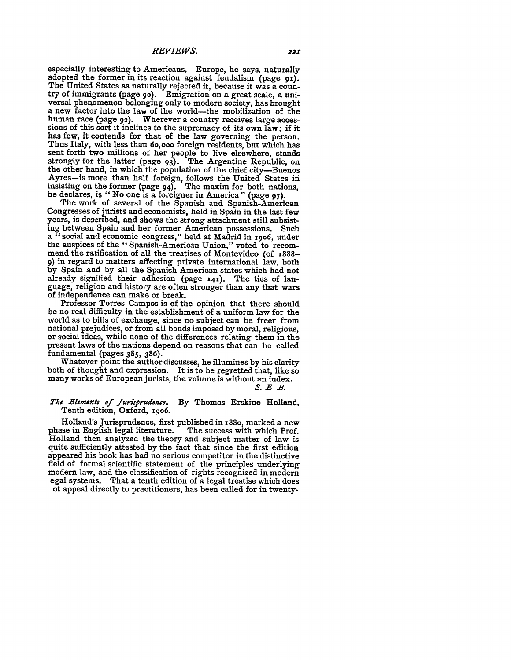especially interesting to Americans. Europe, he says, naturally adopted the former in its reaction against feudalism (page gi). The United States as naturally rejected it, because it was a country of immigrants (page **90).** Emigration on a great scale, a universal phenomenon belonging only to modern society, has brought a new factor into the law of the world-the mobilization of the human race (page 92). Wherever a country receives large accessions of this sort it inclines to the supremacy of its own law; if it has few, it contends for that of the law governing the person. Thus Italy, with less than 6o,ooo foreign residents, but which has sent forth two millions of her people to live elsewhere, stands strongly for the latter (page 93). The Argentine Republic, on the other hand, in which the population of the chief city-Buenos Ayres-is more than half foreign, follows the United States in insisting on the former (page  $94$ ). The maxim for both nations, he declares, is "No one is a foreigner in America" (page **97).**

The work of several of the Spanish and Spanish-American Congresses of jurists and economists, held in Spain in the last few years, is described, and shows the strong attachment still subsisting between Spain and her former American possessions. Such a " social and economic congress," held at Madrid in 1906, under the auspices of the "Spanish-American Union," voted to recommend the ratification of all the treatises of Montevideo (of 1888- **9)** in regard to matters affecting private international law, both **by** Spain and by all the Spanish-American states which had not already signified their adhesion (page *141).* The ties of language, religion and history are often stronger than any that wars of independence can make or break.

Professor Torres Campos is of the opinion that there should be no real difficulty in the establishment of a uniform law for the world as to bills of exchange, since no subject can be freer from national prejudices, or from all bonds imposed by moral, religious, or social ideas, while none of the differences relating them in the present laws of the nations depend on reasons that can be called fundamental (pages 385, 386).

Whatever point the author discusses, he illumines by his clarity both of thought and expression. It is to be regretted that, like so many works of European jurists, the volume is without an index.

*S. E B.*

## The *Elements of Jurisprudence.* **By** Thomas Erskine Holland. Tenth edition, Oxford, igo6.

Holland's Jurisprudence, first published in ,88o, marked a new phase in English legal literature. The success with which Prof. Holland then analyzed the theory and subject matter of law is quite sufficiently attested **by** the fact that since the first edition appeared his book has had no serious competitor in the distinctive field of formal scientific statement of the principles underlying modem law, and the classification of rights recognized in modern egal systems. That a tenth edition of a legal treatise which does ot appeal directly to practitioners, has been called for in twenty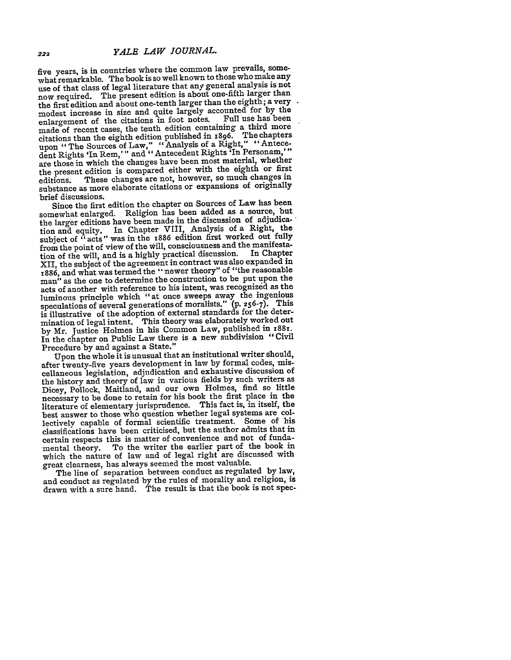five years, is in countries where the common law prevails, somewhat remarkable. The book is so well known to those who make any use of that class of legal literature that any general analysis is not now required. The present edition is about one-fifth larger than the first edition and about one-tenth larger than the eighth; a very modest increase in size and quite largely accounted for by the enlargement of the citations in foot notes. made of recent cases, the tenth edition containing a third more citations than the eighth edition published in **x896.** The chapters upon "The Sources of Law," "Analysis of a Right," "Antecedent Rights 'In Rem,'" and "Antecedent Rights 'In Personam,' are those in which the changes have been most material, whether the present edition is compared either with the eighth or first editions. These changes are not, however, so much changes in These changes are not, however, so much changes in substance as more elaborate citations or expansions of originally brief discussions.

Since the first edition the chapter on Sources of Law has been somewhat enlarged. Religion has been added as a source, but the larger editions have been made in the discussion of adjudication and equity. In Chapter VIII, Analysis of a Right, the subject of  $\ddot{\alpha}$  acts" was in the 1886 edition first worked out fully from the point of view of the Will, consciousness and the manifestation of the will, and is a highly practical discussion. In Chapter XII, the subject of the agreement in contract was also expanded in **x886,** and what was termed the "newer theory" of "the reasonable man" as the one to determine the construction to be put upon the acts of another with reference to his intent, was recognized as the luminous principle which "at once sweeps away the ingenious speculations of several generations of moralists." (p. **256-7).** This is illustrative of the adoption of external standards for the determination of legal intent. This theory was elaborately worked out by Mr. Justice Holmes in his Common Law, published in x881. In the chapter on Public Law there is a new subdivision "Civil Precedure **by** and against a State."

Upon the whole it is unusual that an institutional writer should, after twenty-five years development in law by formal codes, miscellaneous legislation, adjudication and exhaustive discussion of the history and theory of law in various fields **by** such writers as Dicey, Pollock, Maitland, and our own Holmes, find so little necessary to be done to retain for his book the first place in the literature of elementary jurisprudence. This fact is, in itself, the best answer to those who question whether legal systems are collectively capable of formal scientific treatment. Some of his classifications have been criticised, but the author admits that in certain respects this is matter of convenience and not of fundamental theory. To the writer the earlier part of the book in which the nature of law and of legal right are discussed with great clearness, has always seemed the most valuable.

The line of separation between conduct as regulated by law, and conduct as regulated by the rules of morality and religion, is drawn with a sure hand. The result is that the book is not spec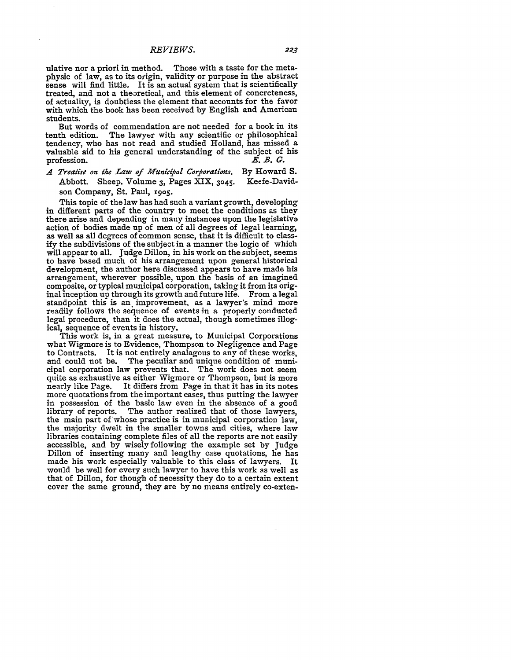ulative nor a priori in method. Those with a taste for the metaphysic of law, as to its origin, validity or purpose in the abstract sense will find little. It is an actual system that is scientifically treated, and not a theoretical, and this element of concreteness, of actuality, is doubtless the element that accounts for the favor with which the book has been received by English and American students.

But words of commendation are not needed for a book in its tenth edition. The lawyer with any scientific or philosophical The lawyer with any scientific or philosophical tendency, who has not read and studied Holland, has missed a valuable aid to his general understanding of the subject of his profession.<br> $E. B. G.$ profession.

*A Treatise on the Law of Munic45al Corporations.* By Howard **S.** Abbott. Sheep. Volume 3, Pages XIX, **3045.** Keefe-Davidson Company, St. Paul, 1905.

This topic of the law has had such a variant growth, developing in different parts of the country to meet the conditions as they there arise and depending in many instances upon the legislative action of bodies made up of men of all degrees of legal learning, as well as all degrees of common sense, that it is difficult to classify the subdivisions of the subject in a manner the logic of which will appear to all. Judge Dillon, in his work on the subject, seems to have based much of his arrangement upon general historical development, the author here discussed appears to have made his arrangement, wherever possible, upon the basis of an imagined composite, or typical municipal corporation, taking it from its original inception up through its growth and future life. From a legal standpoint this is an improvement, as a lawyer's mind more readily follows the sequence of events in a properly conducted legal procedure, than it does the actual, though sometimes illogical, sequence of events in history.

This work is, in a great measure, to Municipal Corporations what Wigmore is to Evidence, Thompson to Negligence and Page to Contracts. It is not entirely analagous to any of these works, and could not be. The peculiar and unique condition of municipal corporation law prevents that. The work does not seem quite as exhaustive as either Wigmore or Thompson, but is more nearly like Page. It differs from Page in that it has in its notes more quotations from the important cases, thus putting the lawyer in possession of the basic law even in the absence of a good library of reports. The author realized that of those lawyers. The author realized that of those lawyers, the main part of whose practice is in municipal corporation law, the majority dwelt in the smaller towns and cities, where law libraries containing complete files of all the reports are not easily accessible, and by wisely following the example set by Judge Dillon of inserting many and lengthy case quotations, he has made his work especially valuable to this class of lawyers. It would be well for every such lawyer to have this work as well as that of Dillon, for though of necessity they do to a certain extent cover the same ground, they are by no means entirely co-exten